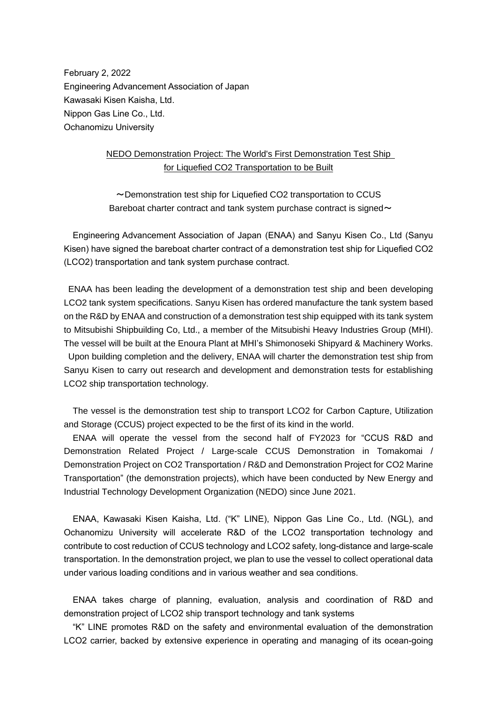February 2, 2022 Engineering Advancement Association of Japan Kawasaki Kisen Kaisha, Ltd. Nippon Gas Line Co., Ltd. Ochanomizu University

## NEDO Demonstration Project: The World's First Demonstration Test Ship for Liquefied CO2 Transportation to be Built

~Demonstration test ship for Liquefied CO2 transportation to CCUS Bareboat charter contract and tank system purchase contract is signed $\sim$ 

Engineering Advancement Association of Japan (ENAA) and Sanyu Kisen Co., Ltd (Sanyu Kisen) have signed the bareboat charter contract of a demonstration test ship for Liquefied CO2 (LCO2) transportation and tank system purchase contract.

ENAA has been leading the development of a demonstration test ship and been developing LCO2 tank system specifications. Sanyu Kisen has ordered manufacture the tank system based on the R&D by ENAA and construction of a demonstration test ship equipped with its tank system to Mitsubishi Shipbuilding Co, Ltd., a member of the Mitsubishi Heavy Industries Group (MHI). The vessel will be built at the Enoura Plant at MHI's Shimonoseki Shipyard & Machinery Works. Upon building completion and the delivery, ENAA will charter the demonstration test ship from Sanyu Kisen to carry out research and development and demonstration tests for establishing LCO2 ship transportation technology.

The vessel is the demonstration test ship to transport LCO2 for Carbon Capture, Utilization and Storage (CCUS) project expected to be the first of its kind in the world.

ENAA will operate the vessel from the second half of FY2023 for "CCUS R&D and Demonstration Related Project / Large-scale CCUS Demonstration in Tomakomai / Demonstration Project on CO2 Transportation / R&D and Demonstration Project for CO2 Marine Transportation" (the demonstration projects), which have been conducted by New Energy and Industrial Technology Development Organization (NEDO) since June 2021.

ENAA, Kawasaki Kisen Kaisha, Ltd. ("K" LINE), Nippon Gas Line Co., Ltd. (NGL), and Ochanomizu University will accelerate R&D of the LCO2 transportation technology and contribute to cost reduction of CCUS technology and LCO2 safety, long-distance and large-scale transportation. In the demonstration project, we plan to use the vessel to collect operational data under various loading conditions and in various weather and sea conditions.

ENAA takes charge of planning, evaluation, analysis and coordination of R&D and demonstration project of LCO2 ship transport technology and tank systems

"K" LINE promotes R&D on the safety and environmental evaluation of the demonstration LCO2 carrier, backed by extensive experience in operating and managing of its ocean-going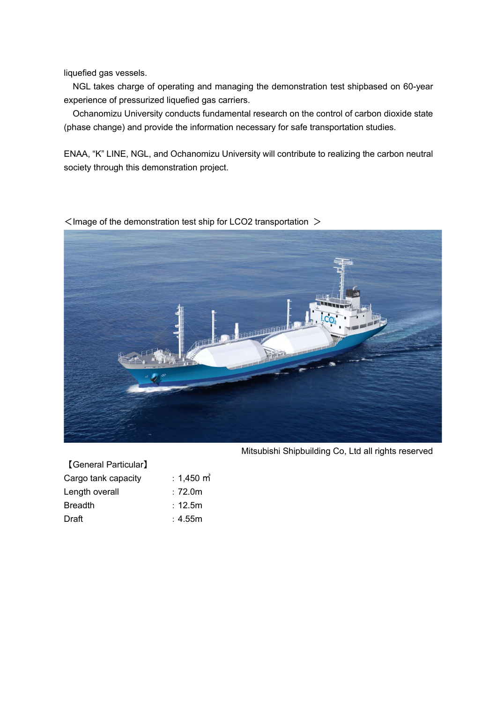liquefied gas vessels.

NGL takes charge of operating and managing the demonstration test shipbased on 60-year experience of pressurized liquefied gas carriers.

Ochanomizu University conducts fundamental research on the control of carbon dioxide state (phase change) and provide the information necessary for safe transportation studies.

ENAA, "K" LINE, NGL, and Ochanomizu University will contribute to realizing the carbon neutral society through this demonstration project.

 $\leq$  Image of the demonstration test ship for LCO2 transportation  $>$ 



| <b>[General Particular]</b> |                 |
|-----------------------------|-----------------|
| Cargo tank capacity         | $: 1,450$ m $3$ |
| Length overall              | :72.0m          |
| <b>Breadth</b>              | : 12.5m         |
| Draft                       | : 4.55m         |

Mitsubishi Shipbuilding Co, Ltd all rights reserved